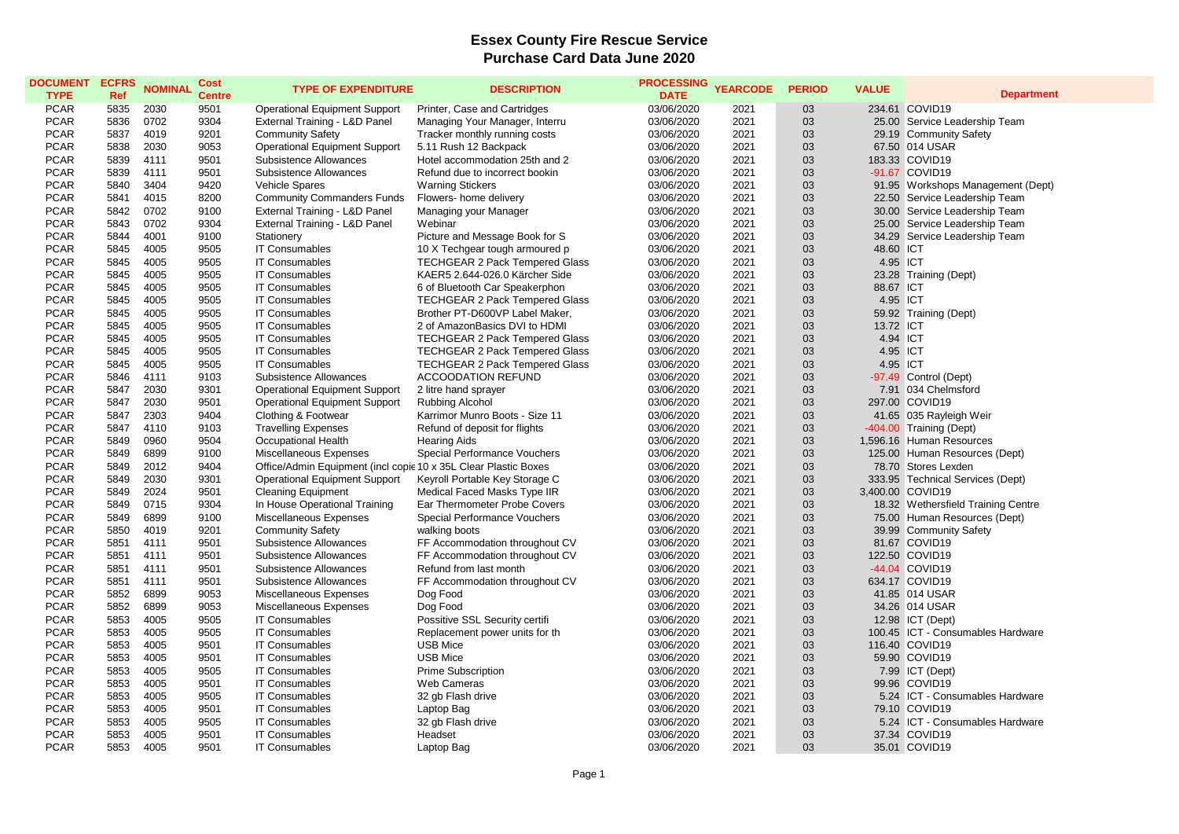## **Essex County Fire Rescue Service Purchase Card Data June 2020**

| <b>DOCUMENT</b><br><b>TYPE</b> | <b>ECFRS</b><br>Ref | <b>NOMINAL</b> | Cost<br><b>Centre</b> | <b>TYPE OF EXPENDITURE</b>                                      | <b>DESCRIPTION</b>                                                             | <b>PROCESSING</b><br><b>DATE</b> | <b>YEARCODE</b> | <b>PERIOD</b> | <b>VALUE</b>          | <b>Department</b>                            |
|--------------------------------|---------------------|----------------|-----------------------|-----------------------------------------------------------------|--------------------------------------------------------------------------------|----------------------------------|-----------------|---------------|-----------------------|----------------------------------------------|
| <b>PCAR</b>                    | 5835                | 2030           | 9501                  | <b>Operational Equipment Support</b>                            | Printer, Case and Cartridges                                                   | 03/06/2020                       | 2021            | 03            |                       | 234.61 COVID19                               |
| <b>PCAR</b>                    | 5836                | 0702           | 9304                  | External Training - L&D Panel                                   | Managing Your Manager, Interru                                                 | 03/06/2020                       | 2021            | 03            |                       | 25.00 Service Leadership Team                |
| <b>PCAR</b>                    | 5837                | 4019           | 9201                  | <b>Community Safety</b>                                         | Tracker monthly running costs                                                  | 03/06/2020                       | 2021            | 03            |                       | 29.19 Community Safety                       |
| <b>PCAR</b>                    | 5838                | 2030           | 9053                  | <b>Operational Equipment Support</b>                            | 5.11 Rush 12 Backpack                                                          | 03/06/2020                       | 2021            | 03            |                       | 67.50 014 USAR                               |
| <b>PCAR</b>                    | 5839                | 4111           | 9501                  | Subsistence Allowances                                          | Hotel accommodation 25th and 2                                                 | 03/06/2020                       | 2021            | 03            |                       | 183.33 COVID19                               |
| <b>PCAR</b>                    | 5839                | 4111           | 9501                  | Subsistence Allowances                                          | Refund due to incorrect bookin                                                 | 03/06/2020                       | 2021            | 03            |                       | -91.67 COVID19                               |
| <b>PCAR</b>                    | 5840                | 3404           | 9420                  | Vehicle Spares                                                  | <b>Warning Stickers</b>                                                        | 03/06/2020                       | 2021            | 03            |                       | 91.95 Workshops Management (Dept)            |
| <b>PCAR</b>                    | 5841                | 4015           | 8200                  | <b>Community Commanders Funds</b>                               | Flowers- home delivery                                                         | 03/06/2020                       | 2021            | 03            |                       | 22.50 Service Leadership Team                |
| <b>PCAR</b>                    | 5842                | 0702           | 9100                  | External Training - L&D Panel                                   | Managing your Manager                                                          | 03/06/2020                       | 2021            | 03            |                       | 30.00 Service Leadership Team                |
| <b>PCAR</b>                    | 5843                | 0702           | 9304                  | External Training - L&D Panel                                   | Webinar                                                                        | 03/06/2020                       | 2021            | 03            |                       | 25.00 Service Leadership Team                |
| <b>PCAR</b>                    | 5844                | 4001           | 9100                  | Stationery                                                      | Picture and Message Book for S                                                 | 03/06/2020                       | 2021            | 03            |                       | 34.29 Service Leadership Team                |
| <b>PCAR</b>                    | 5845                | 4005           | 9505                  | <b>IT Consumables</b>                                           | 10 X Techgear tough armoured p                                                 | 03/06/2020                       | 2021            | 03            | 48.60 ICT             |                                              |
| <b>PCAR</b>                    | 5845                | 4005           | 9505                  | <b>IT Consumables</b>                                           | TECHGEAR 2 Pack Tempered Glass                                                 | 03/06/2020                       | 2021            | 03            | 4.95 ICT              |                                              |
| <b>PCAR</b>                    | 5845                | 4005           | 9505                  | <b>IT Consumables</b>                                           | KAER5 2.644-026.0 Kärcher Side                                                 | 03/06/2020                       | 2021            | 03            |                       | 23.28 Training (Dept)                        |
| <b>PCAR</b>                    | 5845                | 4005           | 9505                  | <b>IT Consumables</b>                                           | 6 of Bluetooth Car Speakerphon                                                 | 03/06/2020                       | 2021            | 03            | 88.67 ICT             |                                              |
| <b>PCAR</b>                    | 5845                | 4005           | 9505                  | <b>IT Consumables</b>                                           | <b>TECHGEAR 2 Pack Tempered Glass</b>                                          | 03/06/2020                       | 2021            | 03            | 4.95 ICT              |                                              |
| <b>PCAR</b>                    | 5845                | 4005           | 9505                  | <b>IT Consumables</b>                                           | Brother PT-D600VP Label Maker.                                                 | 03/06/2020                       | 2021            | 03            |                       |                                              |
| <b>PCAR</b>                    | 5845                | 4005           | 9505                  | <b>IT Consumables</b>                                           | 2 of AmazonBasics DVI to HDMI                                                  | 03/06/2020                       | 2021            | 03            |                       | 59.92 Training (Dept)                        |
|                                | 5845                | 4005           | 9505                  | <b>IT Consumables</b>                                           |                                                                                |                                  | 2021            | 03            | 13.72 ICT<br>4.94 ICT |                                              |
| <b>PCAR</b><br><b>PCAR</b>     | 5845                | 4005           | 9505                  | <b>IT Consumables</b>                                           | <b>TECHGEAR 2 Pack Tempered Glass</b><br><b>TECHGEAR 2 Pack Tempered Glass</b> | 03/06/2020<br>03/06/2020         | 2021            | 03            | 4.95 ICT              |                                              |
|                                |                     |                |                       | <b>IT Consumables</b>                                           |                                                                                |                                  |                 |               | 4.95 ICT              |                                              |
| <b>PCAR</b>                    | 5845                | 4005           | 9505                  |                                                                 | <b>TECHGEAR 2 Pack Tempered Glass</b>                                          | 03/06/2020                       | 2021            | 03            |                       |                                              |
| <b>PCAR</b><br><b>PCAR</b>     | 5846                | 4111<br>2030   | 9103<br>9301          | Subsistence Allowances                                          | <b>ACCOODATION REFUND</b>                                                      | 03/06/2020                       | 2021<br>2021    | 03<br>03      |                       | -97.49 Control (Dept)<br>7.91 034 Chelmsford |
|                                | 5847                |                |                       | <b>Operational Equipment Support</b>                            | 2 litre hand sprayer                                                           | 03/06/2020                       |                 |               |                       |                                              |
| <b>PCAR</b>                    | 5847                | 2030           | 9501                  | <b>Operational Equipment Support</b>                            | Rubbing Alcohol                                                                | 03/06/2020                       | 2021            | 03            |                       | 297.00 COVID19                               |
| <b>PCAR</b>                    | 5847                | 2303           | 9404                  | Clothing & Footwear                                             | Karrimor Munro Boots - Size 11                                                 | 03/06/2020                       | 2021            | 03            |                       | 41.65 035 Rayleigh Weir                      |
| <b>PCAR</b>                    | 5847                | 4110           | 9103                  | <b>Travelling Expenses</b>                                      | Refund of deposit for flights                                                  | 03/06/2020                       | 2021            | 03            |                       | -404.00 Training (Dept)                      |
| <b>PCAR</b>                    | 5849                | 0960           | 9504                  | Occupational Health                                             | <b>Hearing Aids</b>                                                            | 03/06/2020                       | 2021            | 03            |                       | 1,596.16 Human Resources                     |
| <b>PCAR</b>                    | 5849                | 6899           | 9100                  | Miscellaneous Expenses                                          | Special Performance Vouchers                                                   | 03/06/2020                       | 2021            | 03            |                       | 125.00 Human Resources (Dept)                |
| <b>PCAR</b>                    | 5849                | 2012           | 9404                  | Office/Admin Equipment (incl copic 10 x 35L Clear Plastic Boxes |                                                                                | 03/06/2020                       | 2021            | 03            |                       | 78.70 Stores Lexden                          |
| <b>PCAR</b>                    | 5849                | 2030           | 9301                  | <b>Operational Equipment Support</b>                            | Keyroll Portable Key Storage C                                                 | 03/06/2020                       | 2021            | 03            |                       | 333.95 Technical Services (Dept)             |
| <b>PCAR</b>                    | 5849                | 2024           | 9501                  | <b>Cleaning Equipment</b>                                       | Medical Faced Masks Type IIR                                                   | 03/06/2020                       | 2021            | 03            | 3,400.00 COVID19      |                                              |
| <b>PCAR</b>                    | 5849                | 0715           | 9304                  | In House Operational Training                                   | Ear Thermometer Probe Covers                                                   | 03/06/2020                       | 2021            | 03            |                       | 18.32 Wethersfield Training Centre           |
| <b>PCAR</b>                    | 5849                | 6899           | 9100                  | Miscellaneous Expenses                                          | Special Performance Vouchers                                                   | 03/06/2020                       | 2021            | 03            |                       | 75.00 Human Resources (Dept)                 |
| <b>PCAR</b>                    | 5850                | 4019           | 9201                  | <b>Community Safety</b>                                         | walking boots                                                                  | 03/06/2020                       | 2021            | 03            |                       | 39.99 Community Safety                       |
| <b>PCAR</b>                    | 5851                | 4111           | 9501                  | Subsistence Allowances                                          | FF Accommodation throughout CV                                                 | 03/06/2020                       | 2021            | 03            |                       | 81.67 COVID19                                |
| <b>PCAR</b>                    | 5851                | 4111           | 9501                  | Subsistence Allowances                                          | FF Accommodation throughout CV                                                 | 03/06/2020                       | 2021            | 03            |                       | 122.50 COVID19                               |
| <b>PCAR</b>                    | 5851                | 4111           | 9501                  | Subsistence Allowances                                          | Refund from last month                                                         | 03/06/2020                       | 2021            | 03            |                       | -44.04 COVID19                               |
| <b>PCAR</b>                    | 5851                | 4111           | 9501                  | Subsistence Allowances                                          | FF Accommodation throughout CV                                                 | 03/06/2020                       | 2021            | 03            |                       | 634.17 COVID19                               |
| <b>PCAR</b>                    | 5852                | 6899           | 9053                  | Miscellaneous Expenses                                          | Dog Food                                                                       | 03/06/2020                       | 2021            | 03            |                       | 41.85 014 USAR                               |
| <b>PCAR</b>                    | 5852                | 6899           | 9053                  | Miscellaneous Expenses                                          | Dog Food                                                                       | 03/06/2020                       | 2021            | 03            |                       | 34.26 014 USAR                               |
| <b>PCAR</b>                    | 5853                | 4005           | 9505                  | <b>IT Consumables</b>                                           | Possitive SSL Security certifi                                                 | 03/06/2020                       | 2021            | 03            |                       | 12.98 ICT (Dept)                             |
| <b>PCAR</b>                    | 5853                | 4005           | 9505                  | <b>IT Consumables</b>                                           | Replacement power units for th                                                 | 03/06/2020                       | 2021            | 03            |                       | 100.45 ICT - Consumables Hardware            |
| <b>PCAR</b>                    | 5853                | 4005           | 9501                  | <b>IT Consumables</b>                                           | <b>USB Mice</b>                                                                | 03/06/2020                       | 2021            | 03            |                       | 116.40 COVID19                               |
| <b>PCAR</b>                    | 5853                | 4005           | 9501                  | <b>IT Consumables</b>                                           | <b>USB Mice</b>                                                                | 03/06/2020                       | 2021            | 03            |                       | 59.90 COVID19                                |
| <b>PCAR</b>                    | 5853                | 4005           | 9505                  | <b>IT Consumables</b>                                           | <b>Prime Subscription</b>                                                      | 03/06/2020                       | 2021            | 03            |                       | 7.99 ICT (Dept)                              |
| <b>PCAR</b>                    | 5853                | 4005           | 9501                  | <b>IT Consumables</b>                                           | <b>Web Cameras</b>                                                             | 03/06/2020                       | 2021            | 03            |                       | 99.96 COVID19                                |
| <b>PCAR</b>                    | 5853                | 4005           | 9505                  | <b>IT Consumables</b>                                           | 32 gb Flash drive                                                              | 03/06/2020                       | 2021            | 03            |                       | 5.24 ICT - Consumables Hardware              |
| <b>PCAR</b>                    | 5853                | 4005           | 9501                  | <b>IT Consumables</b>                                           | Laptop Bag                                                                     | 03/06/2020                       | 2021            | 03            |                       | 79.10 COVID19                                |
| <b>PCAR</b>                    | 5853                | 4005           | 9505                  | <b>IT Consumables</b>                                           | 32 gb Flash drive                                                              | 03/06/2020                       | 2021            | 03            |                       | 5.24 ICT - Consumables Hardware              |
| <b>PCAR</b>                    | 5853                | 4005           | 9501                  | <b>IT Consumables</b>                                           | Headset                                                                        | 03/06/2020                       | 2021            | 03            |                       | 37.34 COVID19                                |
| <b>PCAR</b>                    | 5853                | 4005           | 9501                  | <b>IT Consumables</b>                                           | Laptop Bag                                                                     | 03/06/2020                       | 2021            | 03            |                       | 35.01 COVID19                                |
|                                |                     |                |                       |                                                                 |                                                                                |                                  |                 |               |                       |                                              |